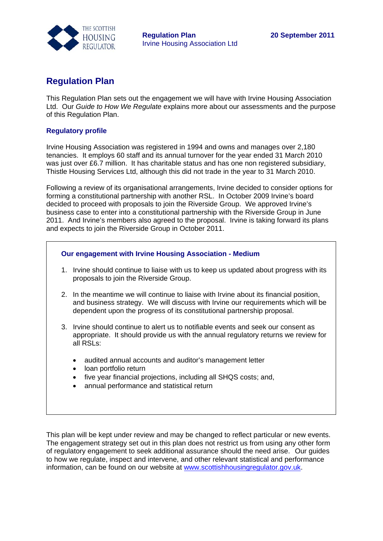

## **Regulation Plan**

This Regulation Plan sets out the engagement we will have with Irvine Housing Association Ltd. Our *Guide to How We Regulate* explains more about our assessments and the purpose of this Regulation Plan.

## **Regulatory profile**

Irvine Housing Association was registered in 1994 and owns and manages over 2,180 tenancies. It employs 60 staff and its annual turnover for the year ended 31 March 2010 was just over £6.7 million. It has charitable status and has one non registered subsidiary, Thistle Housing Services Ltd, although this did not trade in the year to 31 March 2010.

Following a review of its organisational arrangements, Irvine decided to consider options for forming a constitutional partnership with another RSL. In October 2009 Irvine's board decided to proceed with proposals to join the Riverside Group. We approved Irvine's business case to enter into a constitutional partnership with the Riverside Group in June 2011. And Irvine's members also agreed to the proposal. Irvine is taking forward its plans and expects to join the Riverside Group in October 2011.

## **Our engagement with Irvine Housing Association - Medium**

- 1. Irvine should continue to liaise with us to keep us updated about progress with its proposals to join the Riverside Group.
- 2. In the meantime we will continue to liaise with Irvine about its financial position, and business strategy. We will discuss with Irvine our requirements which will be dependent upon the progress of its constitutional partnership proposal.
- 3. Irvine should continue to alert us to notifiable events and seek our consent as appropriate. It should provide us with the annual regulatory returns we review for all RSLs:
	- audited annual accounts and auditor's management letter
	- loan portfolio return
	- five year financial projections, including all SHQS costs; and,
	- annual performance and statistical return

This plan will be kept under review and may be changed to reflect particular or new events. The engagement strategy set out in this plan does not restrict us from using any other form of regulatory engagement to seek additional assurance should the need arise. Our guides to how we regulate, inspect and intervene, and other relevant statistical and performance information, can be found on our website at [www.scottishhousingregulator.gov.uk.](http://www.scottishhousingregulator.gov.uk/)